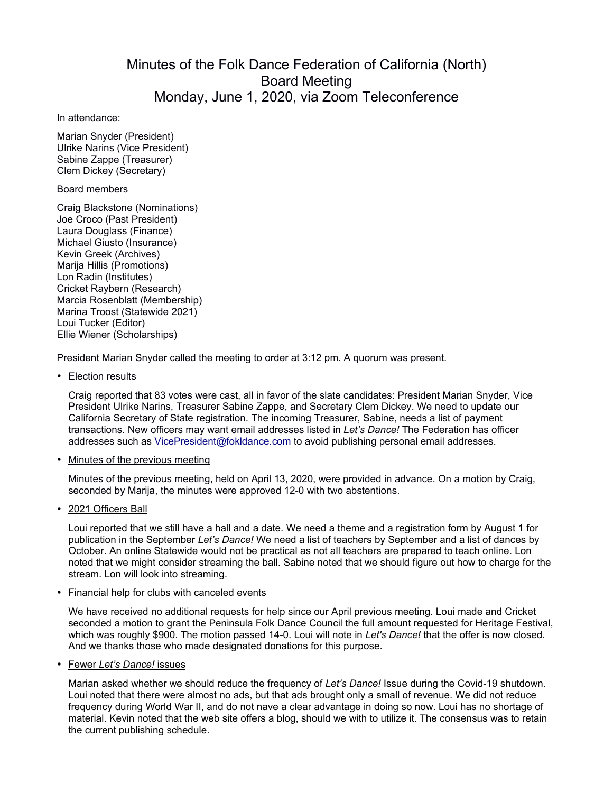## Minutes of the Folk Dance Federation of California (North) Board Meeting Monday, June 1, 2020, via Zoom Teleconference

In attendance:

Marian Snyder (President) Ulrike Narins (Vice President) Sabine Zappe (Treasurer) Clem Dickey (Secretary)

Board members

Craig Blackstone (Nominations) Joe Croco (Past President) Laura Douglass (Finance) Michael Giusto (Insurance) Kevin Greek (Archives) Marija Hillis (Promotions) Lon Radin (Institutes) Cricket Raybern (Research) Marcia Rosenblatt (Membership) Marina Troost (Statewide 2021) Loui Tucker (Editor) Ellie Wiener (Scholarships)

President Marian Snyder called the meeting to order at 3:12 pm. A quorum was present.

• Election results

Craig reported that 83 votes were cast, all in favor of the slate candidates: President Marian Snyder, Vice President Ulrike Narins, Treasurer Sabine Zappe, and Secretary Clem Dickey. We need to update our California Secretary of State registration. The incoming Treasurer, Sabine, needs a list of payment transactions. New officers may want email addresses listed in *Let's Dance!* The Federation has officer addresses such as VicePresident@fokldance.com to avoid publishing personal email addresses.

## • Minutes of the previous meeting

Minutes of the previous meeting, held on April 13, 2020, were provided in advance. On a motion by Craig, seconded by Marija, the minutes were approved 12-0 with two abstentions.

• 2021 Officers Ball

Loui reported that we still have a hall and a date. We need a theme and a registration form by August 1 for publication in the September *Let's Dance!* We need a list of teachers by September and a list of dances by October. An online Statewide would not be practical as not all teachers are prepared to teach online. Lon noted that we might consider streaming the ball. Sabine noted that we should figure out how to charge for the stream. Lon will look into streaming.

## • Financial help for clubs with canceled events

We have received no additional requests for help since our April previous meeting. Loui made and Cricket seconded a motion to grant the Peninsula Folk Dance Council the full amount requested for Heritage Festival, which was roughly \$900. The motion passed 14-0. Loui will note in *Let's Dance!* that the offer is now closed. And we thanks those who made designated donations for this purpose.

• Fewer *Let's Dance!* issues

Marian asked whether we should reduce the frequency of *Let's Dance!* Issue during the Covid-19 shutdown. Loui noted that there were almost no ads, but that ads brought only a small of revenue. We did not reduce frequency during World War II, and do not nave a clear advantage in doing so now. Loui has no shortage of material. Kevin noted that the web site offers a blog, should we with to utilize it. The consensus was to retain the current publishing schedule.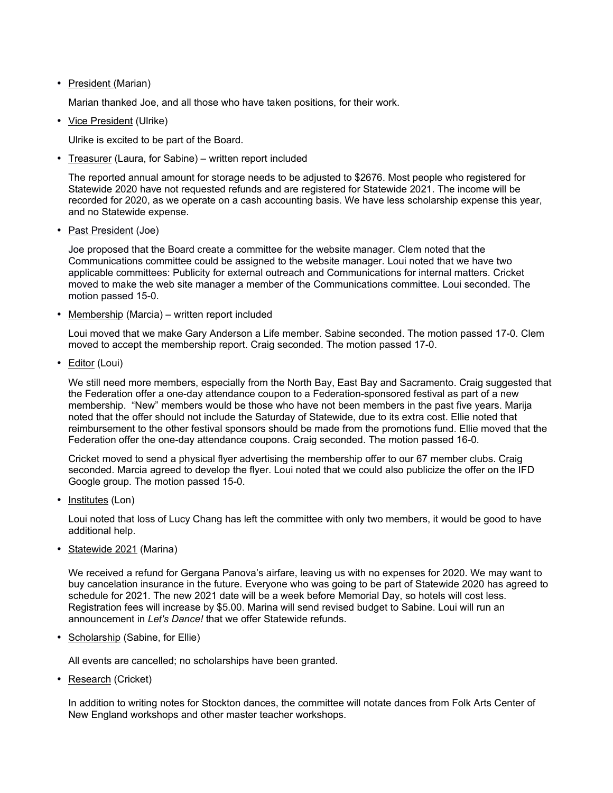## • President (Marian)

Marian thanked Joe, and all those who have taken positions, for their work.

• Vice President (Ulrike)

Ulrike is excited to be part of the Board.

• Treasurer (Laura, for Sabine) – written report included

The reported annual amount for storage needs to be adjusted to \$2676. Most people who registered for Statewide 2020 have not requested refunds and are registered for Statewide 2021. The income will be recorded for 2020, as we operate on a cash accounting basis. We have less scholarship expense this year, and no Statewide expense.

• Past President (Joe)

Joe proposed that the Board create a committee for the website manager. Clem noted that the Communications committee could be assigned to the website manager. Loui noted that we have two applicable committees: Publicity for external outreach and Communications for internal matters. Cricket moved to make the web site manager a member of the Communications committee. Loui seconded. The motion passed 15-0.

• Membership (Marcia) – written report included

Loui moved that we make Gary Anderson a Life member. Sabine seconded. The motion passed 17-0. Clem moved to accept the membership report. Craig seconded. The motion passed 17-0.

• **Editor** (Loui)

We still need more members, especially from the North Bay, East Bay and Sacramento. Craig suggested that the Federation offer a one-day attendance coupon to a Federation-sponsored festival as part of a new membership. "New" members would be those who have not been members in the past five years. Marija noted that the offer should not include the Saturday of Statewide, due to its extra cost. Ellie noted that reimbursement to the other festival sponsors should be made from the promotions fund. Ellie moved that the Federation offer the one-day attendance coupons. Craig seconded. The motion passed 16-0.

Cricket moved to send a physical flyer advertising the membership offer to our 67 member clubs. Craig seconded. Marcia agreed to develop the flyer. Loui noted that we could also publicize the offer on the IFD Google group. The motion passed 15-0.

• Institutes (Lon)

Loui noted that loss of Lucy Chang has left the committee with only two members, it would be good to have additional help.

• Statewide 2021 (Marina)

We received a refund for Gergana Panova's airfare, leaving us with no expenses for 2020. We may want to buy cancelation insurance in the future. Everyone who was going to be part of Statewide 2020 has agreed to schedule for 2021. The new 2021 date will be a week before Memorial Day, so hotels will cost less. Registration fees will increase by \$5.00. Marina will send revised budget to Sabine. Loui will run an announcement in *Let's Dance!* that we offer Statewide refunds.

• Scholarship (Sabine, for Ellie)

All events are cancelled; no scholarships have been granted.

• Research (Cricket)

In addition to writing notes for Stockton dances, the committee will notate dances from Folk Arts Center of New England workshops and other master teacher workshops.